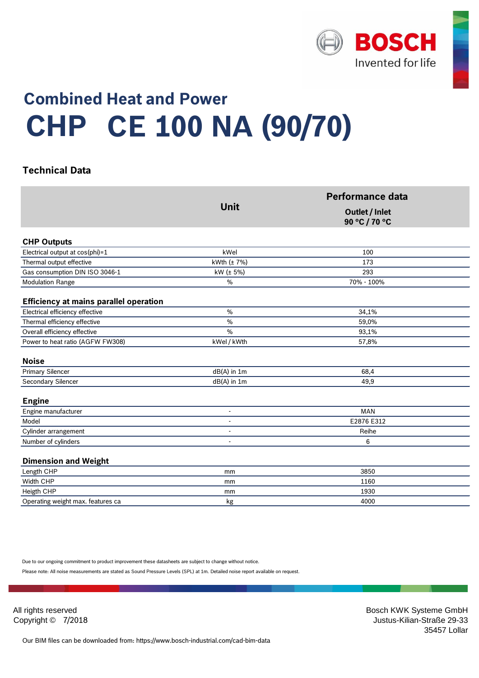

## **Combined Heat and Power CE 100 NA (90/70) CHP**

## <sup>0</sup> **Technical Data**

|                                               | <b>Unit</b>      | <b>Performance data</b><br>Outlet / Inlet<br>90 °C / 70 °C |
|-----------------------------------------------|------------------|------------------------------------------------------------|
|                                               |                  |                                                            |
| <b>CHP Outputs</b>                            |                  |                                                            |
| Electrical output at cos(phi)=1               | kWel             | 100                                                        |
| Thermal output effective                      | kWth $(\pm 7\%)$ | 173                                                        |
| Gas consumption DIN ISO 3046-1                | kW (± 5%)        | 293                                                        |
| <b>Modulation Range</b>                       | $\%$             | 70% - 100%                                                 |
| <b>Efficiency at mains parallel operation</b> |                  |                                                            |
| Electrical efficiency effective               | $\%$             | 34,1%                                                      |
| Thermal efficiency effective                  | %                | 59,0%                                                      |
| Overall efficiency effective                  | $\%$             | 93,1%                                                      |
| Power to heat ratio (AGFW FW308)              | kWel / kWth      | 57,8%                                                      |
| <b>Noise</b>                                  |                  |                                                            |
| Primary Silencer                              | $dB(A)$ in 1m    | 68,4                                                       |
| Secondary Silencer                            | dB(A) in 1m      | 49,9                                                       |
| <b>Engine</b>                                 |                  |                                                            |
| Engine manufacturer                           | $\blacksquare$   | <b>MAN</b>                                                 |
| Model                                         |                  | E2876 E312                                                 |
| Cylinder arrangement                          | $\sim$           | Reihe                                                      |
| Number of cylinders                           |                  | 6                                                          |
| <b>Dimension and Weight</b>                   |                  |                                                            |
| Length CHP                                    | mm               | 3850                                                       |
| Width CHP                                     | mm               | 1160                                                       |
| Heigth CHP                                    | mm               | 1930                                                       |
| Operating weight max. features ca             | kg               | 4000                                                       |

Due to our ongoing commitment to product improvement these datasheets are subject to change without notice.

17.1 Please note: All noise measurements are stated as Sound Pressure Levels (SPL) at 1m. Detailed noise report available on request.

All rights reserved **Bosch KWK Systeme GmbH** Bosch KWK Systeme GmbH Copyright © 7/2018 Justus-Kilian-Straße 29-33 the control of the control of the control of the control of the control of the control of the control of the control of the control of the control of the control of the control of the control of the control of the control

Our BIM files can be downloaded from: https://www.bosch-industrial.com/cad-bim-data